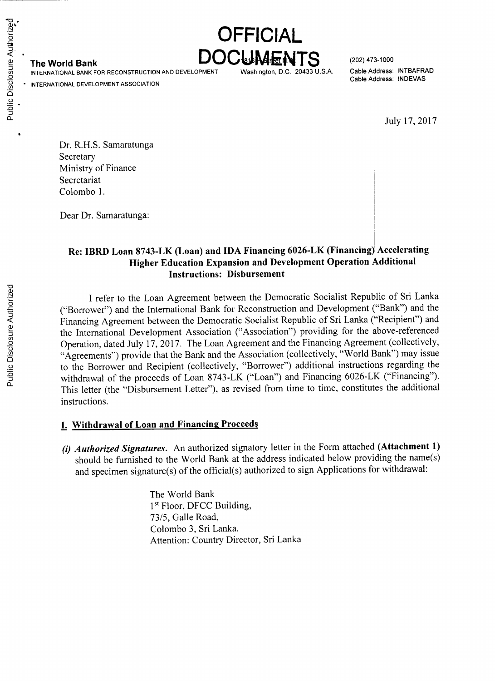The World Bank **DOCUMENTS** (202) 473-1000

**INTERNATIONAL** BANK FOR **RECONSTRUCTION AND DEVELOPMENT** Washington, **D.C.** 20433 **U.S.A.** Cable Address: INTBAFRAD

**INTERNATIONAL DEVELOPMENT ASSOCIATION**

Cable Address: **INDEVAS**

July **17, 2017**

Dr. R.H.S. Samaratunga Secretary Ministry of Finance Secretariat Colombo **1.**

Dear Dr. Samaratunga:

# **Re: IBRD Loan 8743-LK (Loan) and IDA Financing 6026-LK (Financing) Accelerating Higher Education Expansion and Development Operation Additional Instructions: Disbursement**

**OFFICIAL**

**<sup>I</sup>**refer to the Loan Agreement between the Democratic Socialist Republic of Sri Lanka ("Borrower") and the International Bank for Reconstruction and Development ("Bank") and the Financing Agreement between the Democratic Socialist Republic of Sri Lanka ("Recipient") and the International Development Association ("Association") providing for the above-referenced Operation, dated July **17, 2017.** The Loan Agreement and the Financing Agreement (collectively, "Agreements") provide that the Bank and the Association (collectively, "World Bank") may issue to the Borrower and Recipient (collectively, "Borrower") additional instructions regarding the withdrawal of the proceeds of Loan 8743-LK ("Loan") and Financing 6026-LK ("Financing"). This letter (the "Disbursement Letter"), as revised from time to time, constitutes the additional instructions.

### **I. Withdrawal of Loan and Financing Proceeds**

*(i) Authorized Signatures.* An authorized signatory letter in the Form attached **(Attachment 1)** should be furnished to the World Bank at the address indicated below providing the name(s) and specimen signature(s) of the official(s) authorized to sign Applications for withdrawal:

> The World Bank 1st Floor, **DFCC** Building, *73/5,* Galle Road, Colombo **3,** Sri Lanka. Attention: Country Director, Sri Lanka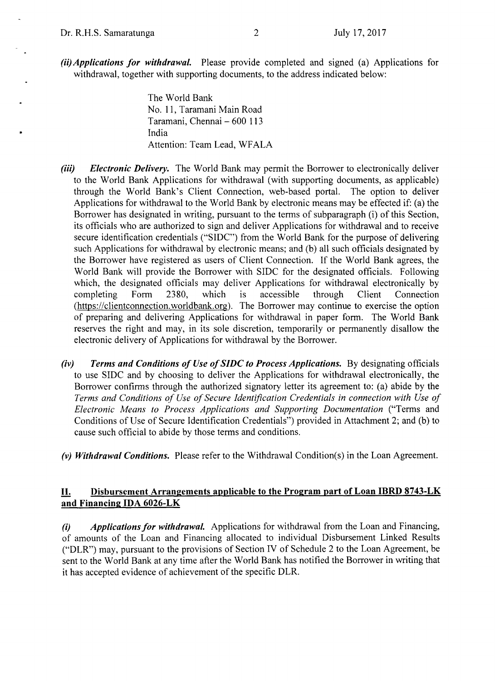*(ii)Applications for withdrawal.* Please provide completed and signed (a) Applications for withdrawal, together with supporting documents, to the address indicated below:

> The World Bank No. **11,** Taramani Main Road Taramani, Chennai **- 600 113** India Attention: Team Lead, WFALA

- *(iii) Electronic Delivery.* The World Bank may permit the Borrower to electronically deliver to the World Bank Applications for withdrawal (with supporting documents, as applicable) through the World Bank's Client Connection, web-based portal. The option to deliver Applications for withdrawal to the World Bank **by** electronic means may be effected if: (a) the Borrower has designated in writing, pursuant to the terms of subparagraph (i) of this Section, its officials who are authorized to sign and deliver Applications for withdrawal and to receive secure identification credentials **("SIDC")** from the World Bank for the purpose of delivering such Applications for withdrawal **by** electronic means; and **(b)** all such officials designated **by** the Borrower have registered as users of Client Connection. **If** the World Bank agrees, the World Bank will provide the Borrower with SIDC for the designated officials. Following which, the designated officials may deliver Applications for withdrawal electronically by completing Form 2380, which is accessible through Client Connection completing (https://clientconnection.worldbank.orz). The Borrower may continue to exercise the option of preparing and delivering Applications for withdrawal in paper form. The World Bank reserves the right and may, in its sole discretion, temporarily or permanently disallow the electronic delivery of Applications for withdrawal **by** the Borrower.
- *(iv) Terms and Conditions of Use of SIDC to Process Applications.* **By** designating officials to use **SIDC** and **by** choosing to deliver the Applications for withdrawal electronically, the Borrower confirms through the authorized signatory letter its agreement to: (a) abide **by** the *Terms and Conditions of Use of Secure Identification Credentials in connection with Use of Electronic Means to Process Applications and Supporting Documentation* ("Terms and Conditions of Use of Secure Identification Credentials") provided in Attachment 2; and **(b)** to cause such official to abide **by** those terms and conditions.

*(v) Withdrawal Conditions.* Please refer to the Withdrawal Condition(s) in the Loan Agreement.

### **11. Disbursement Arrangements applicable to the Program part of Loan IBRD 8743-LK and Financing IDA 6026-LK**

*(i) Applications for withdrawal.* Applications for withdrawal from the Loan and Financing, of amounts of the Loan and Financing allocated to individual Disbursement Linked Results ("DLR") may, pursuant to the provisions of Section IV of Schedule 2 to the Loan Agreement, be sent to the World Bank at any time after the World Bank has notified the Borrower in writing that it has accepted evidence of achievement of the specific DLR.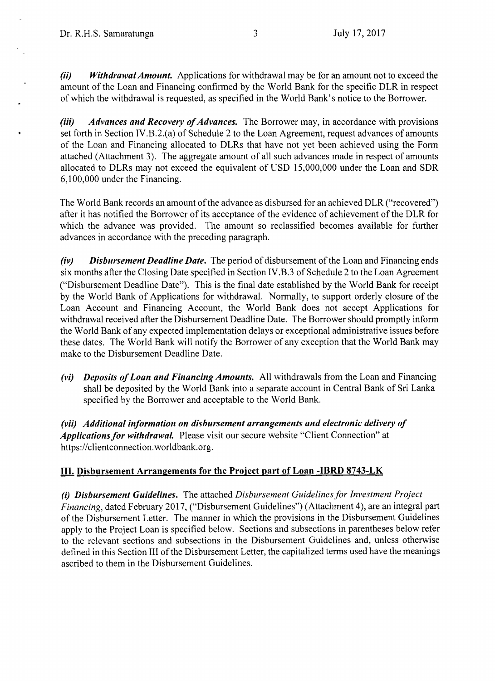*(ii) Withdrawal Amount.* Applications for withdrawal may be for an amount not to exceed the amount of the Loan and Financing confirmed **by** the World Bank for the specific DLR in respect of which the withdrawal is requested, as specified in the World Bank's notice to the Borrower.

*(iii) Advances and Recovery of Advances.* The Borrower may, in accordance with provisions set forth in Section IV.B.2.(a) of Schedule 2 to the Loan Agreement, request advances of amounts of the Loan and Financing allocated to DLRs that have not yet been achieved using the Form attached (Attachment **3).** The aggregate amount of all such advances made in respect of amounts allocated to DLRs may not exceed the equivalent of **USD 15,000,000** under the Loan and SDR **6,100,000** under the Financing.

The World Bank records an amount of the advance as disbursed for an achieved DLR ("recovered") after it has notified the Borrower of its acceptance of the evidence of achievement of the DLR for which the advance was provided. The amount so reclassified becomes available for further advances in accordance with the preceding paragraph.

*(iv) Disbursement Deadline Date.* The period of disbursement of the Loan and Financing ends six months after the Closing Date specified in Section IV.B.3 of Schedule 2 to the Loan Agreement ("Disbursement Deadline Date"). This is the final date established **by** the World Bank for receipt **by** the World Bank of Applications for withdrawal. Normally, to support orderly closure of the Loan Account and Financing Account, the World Bank does not accept Applications for withdrawal received after the Disbursement Deadline Date. The Borrower should promptly inform the World Bank of any expected implementation delays or exceptional administrative issues before these dates. The World Bank will notify the Borrower of any exception that the World Bank may make to the Disbursement Deadline Date.

*(vi) Deposits of Loan and Financing Amounts.* **All** withdrawals from the Loan and Financing shall be deposited **by** the World Bank into a separate account in Central Bank of Sri Lanka specified **by** the Borrower and acceptable to the World Bank.

*(vii) Additional information on disbursement arrangements and electronic delivery of Applications for withdrawaL* Please visit our secure website "Client Connection" at https://clientconnection.worldbank.org.

# **III. Disbursement Arrangements for the Project part of Loan -IBRD 8743-LK**

*(i) Disbursement Guidelines.* The attached *Disbursement Guidelines for Investment Project Financing,* dated February **2017,** ("Disbursement Guidelines") (Attachment 4), are an integral part of the Disbursement Letter. The manner in which the provisions in the Disbursement Guidelines apply to the Project Loan is specified below. Sections and subsections in parentheses below refer to the relevant sections and subsections in the Disbursement Guidelines and, unless otherwise defined in this Section **III** of the Disbursement Letter, the capitalized terms used have the meanings ascribed to them in the Disbursement Guidelines.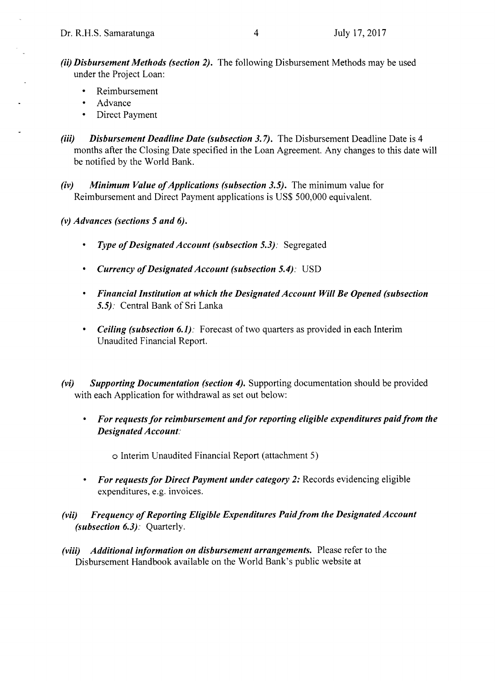- *(ii) Disbursement Methods (section 2).* The following Disbursement Methods may be used under the Project Loan:
	- \* Reimbursement
	- Advance
	- **\*** Direct Payment
- *(iii)* Disbursement Deadline Date (subsection 3.7). The Disbursement Deadline Date is 4 months after the Closing Date specified in the Loan Agreement. Any changes to this date will be notified **by** the World Bank.
- *(iv) Minimum Value of Applications (subsection 3.5).* The minimum value for Reimbursement and Direct Payment applications is **US\$ 500,000** equivalent.

*(v) Advances (sections 5 and 6).*

- *\* Type of Designated Account (subsection 5.3):* Segregated
- *\* Currency ofDesignated Account (subsection 5.4):* **USD**
- *\* Financial Institution at which the Designated Account Will Be Opened (subsection 5.5).* Central Bank of Sri Lanka
- *\* Ceiling (subsection 6.1)*: Forecast of two quarters as provided in each Interim Unaudited Financial Report.
- *(vi) Supporting Documentation (section 4).* Supporting documentation should be provided with each Application for withdrawal as set out below:
	- *\* For requests for reimbursement and for reporting eligible expenditures paid from the Designated Account.*

o Interim Unaudited Financial Report (attachment **5)**

- *\* For requests for Direct Payment under category 2:* Records evidencing eligible expenditures, e.g. invoices.
- *(vii) Frequency of Reporting Eligible Expenditures Paid from the Designated Account (subsection 6.3):* Quarterly.
- *(viii) Additional information on disbursement arrangements.* Please refer to the Disbursement Handbook available on the World Bank's public website at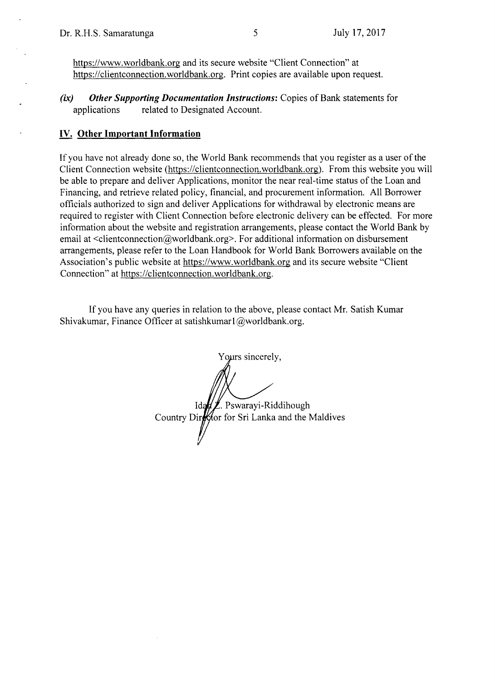https://www.worldbank.org and its secure website "Client Connection" at https://clientconnection.worldbank.org. Print copies are available upon request.

*(ix) Other Supporting Documentation Instructions:* Copies of Bank statements for related to Designated Account.

### **IV. Other Important Information**

**If** you have not already done so, the World Bank recommends that you register as **a** user of the Client Connection website (https://clientconnection.worldbank.org). From this website you will be able to prepare and deliver Applications, monitor the near real-time status of the Loan and Financing, and retrieve related policy, financial, and procurement information. **All** Borrower officials authorized to sign and deliver Applications for withdrawal **by** electronic means are required to register with Client Connection before electronic delivery can be effected. For more information about the website and registration arrangements, please contact the World Bank **by** email at <clientconnection@worldbank.org>. For additional information on disbursement arrangements, please refer to the Loan Handbook for World Bank Borrowers available on the Association's public website at https://www.worldbank.org and its secure website "Client Connection" at https://clientconnection.worldbank.org.

**If** you have any queries in relation to the above, please contact Mr. Satish Kumar Shivakumar, Finance Officer at satishkumarl@worldbank.org.

Yours sincerely, **Id** . Pswarayi-Riddihough Country Director for Sri Lanka and the Maldives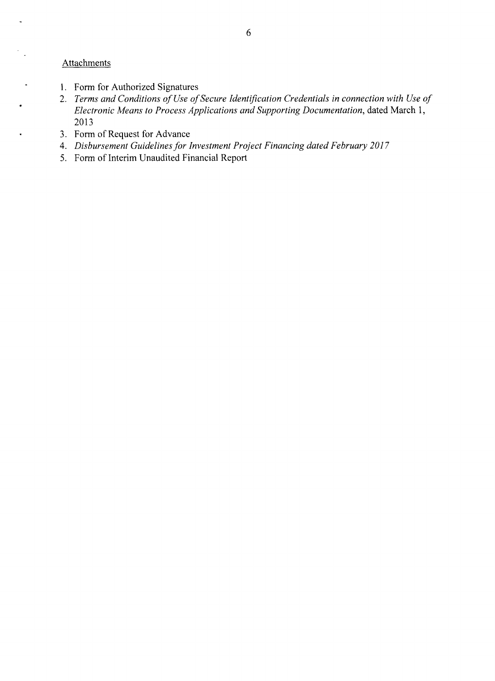## **Attachments**

 $\ddot{\phantom{a}}$ 

 $\ddot{\phantom{0}}$ 

 $\blacksquare$ 

- **1.** Form for Authorized Signatures
- 2. *Terms and Conditions of Use of Secure Identification Credentials in connection with Use of Electronic Means to Process Applications and Supporting Documentation,* dated March **1, 2013**
- **3.** Form of Request for Advance
- *4. Disbursement Guidelines for Investment Project Financing dated February 2017*
- *5.* Form of Interim Unaudited Financial Report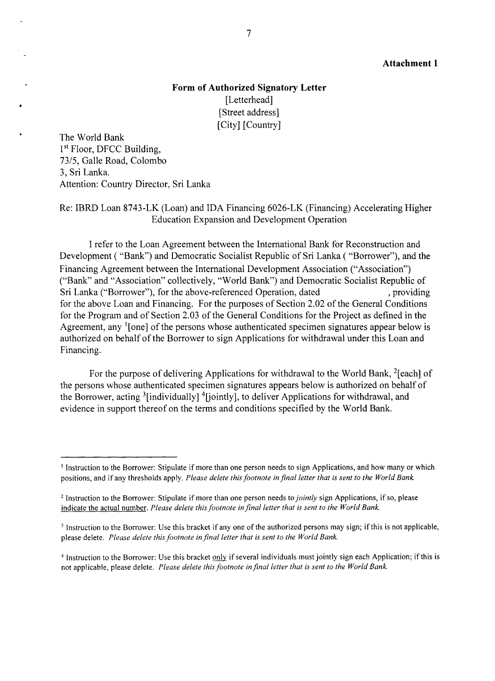### **Attachment 1**

# **Form of Authorized Signatory Letter** [Letterhead] [Street address] [City] [Country]

The World Bank 1<sup>st</sup> Floor, DFCC Building, **73/5,** Galle Road, Colombo **3,** Sri Lanka. Attention: Country Director, Sri Lanka

### Re: IBRD Loan 8743-LK (Loan) and **IDA** Financing 6026-LK (Financing) Accelerating Higher Education Expansion and Development Operation

**I** refer to the Loan Agreement between the International Bank for Reconstruction and Development **(** "Bank") and Democratic Socialist Republic of Sri Lanka **(** "Borrower"), and the Financing Agreement between the International Development Association ("Association") ("Bank" and "Association" collectively, "World Bank") and Democratic Socialist Republic of Sri Lanka ("Borrower"), for the above-referenced Operation, dated , providing for the above Loan and Financing. For the purposes of Section 2.02 of the General Conditions for the Program and of Section **2.03** of the General Conditions for the Project as defined in the Agreement, any '[one] of the persons whose authenticated specimen signatures appear below is authorized on behalf of the Borrower to sign Applications for withdrawal under this Loan and Financing.

For the purpose of delivering Applications for withdrawal to the World Bank, <sup>2</sup>[each] of the persons whose authenticated specimen signatures appears below is authorized on behalf of the Borrower, acting  $3$  [individually]  $4$ [jointly], to deliver Applications for withdrawal, and evidence in support thereof on the terms and conditions specified **by** the World Bank.

**<sup>I</sup>**Instruction to the Borrower: Stipulate if more than one person needs to sign Applications, and how many or which positions, and if any thresholds apply. *Please delete this footnote in final letter that is sent to the World Bank*

<sup>2</sup> Instruction to the Borrower: Stipulate if more than one person needs *to jointly* sign Applications, if so, please indicate the actual number. *Please delete this footnote in final letter that is sent to the World Bank.*

<sup>&</sup>lt;sup>3</sup> Instruction to the Borrower: Use this bracket if any one of the authorized persons may sign; if this is not applicable, please delete. *Please delete this footnote in final letter that is sent to the World Bank.*

<sup>4</sup> Instruction to the Borrower: Use this bracket only if several individuals must jointly sign each Application; if this is not applicable, please delete. *Please delete this footnote in final letter that is sent to the World Bank.*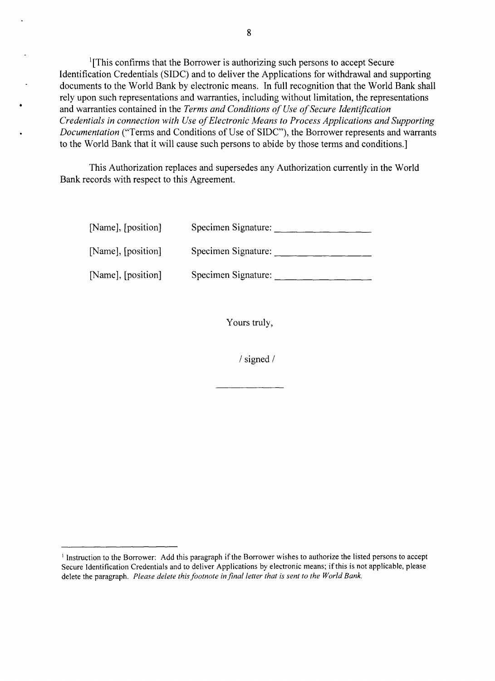'[This confirms that the Borrower is authorizing such persons to accept Secure Identification Credentials **(SIDC)** and to deliver the Applications for withdrawal and supporting documents to the World Bank **by** electronic means. In full recognition that the World Bank shall rely upon such representations and warranties, including without limitation, the representations and warranties contained in the *Terms and Conditions of Use of Secure Identification Credentials in connection with Use of Electronic Means to Process Applications and Supporting* . *Documentation* ("Terms and Conditions of Use of **SIDC"),** the Borrower represents and warrants to the World Bank that it will cause such persons to abide **by** those terms and conditions.]

This Authorization replaces and supersedes any Authorization currently in the World Bank records with respect to this Agreement.

| [Name], [position] | Specimen Signature: |
|--------------------|---------------------|
| [Name], [position] | Specimen Signature: |
| [Name], [position] | Specimen Signature: |

Yours truly,

**/** signed **/**

<sup>&</sup>lt;sup>1</sup> Instruction to the Borrower: Add this paragraph if the Borrower wishes to authorize the listed persons to accept Secure Identification Credentials and to deliver Applications **by** electronic means; if this is not applicable, please delete the paragraph. *Please delete this footnote in final letter that is sent to the World Bank.*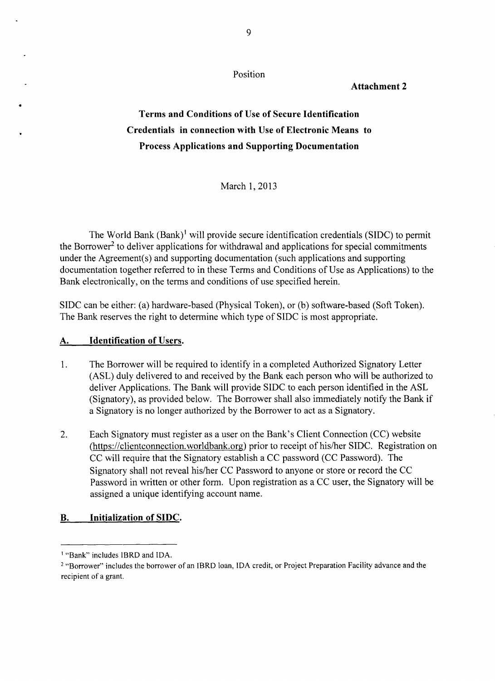Position

## **Attachment 2**

# **Terms and Conditions of Use of Secure Identification Credentials in connection with Use of Electronic Means to Process Applications and Supporting Documentation**

March **1, 2013**

The World Bank (Bank)' will provide secure identification credentials **(SIDC)** to permit the Borrower<sup>2</sup> to deliver applications for withdrawal and applications for special commitments under the Agreement(s) and supporting documentation (such applications and supporting documentation together referred to in these Terms and Conditions of Use as Applications) to the Bank electronically, on the terms and conditions of use specified herein.

**SIDC** can be either: (a) hardware-based (Physical Token), or **(b)** software-based (Soft Token). The Bank reserves the right to determine which type of **SIDC** is most appropriate.

### **A. Identification of Users.**

- 1. The Borrower will be required to identify in a completed Authorized Signatory Letter **(ASL)** duly delivered to and received **by** the Bank each person who will be authorized to deliver Applications. The Bank will provide **SIDC** to each person identified in the **ASL** (Signatory), as provided below. The Borrower shall also immediately notify the Bank if a Signatory is no longer authorized **by** the Borrower to act as a Signatory.
- 2. Each Signatory must register as a user on the Bank's Client Connection **(CC)** website (https://clientconnection.worldbank.org) prior to receipt of his/her **SIDC.** Registration on **CC** will require that the Signatory establish a **CC** password **(CC** Password). The Signatory shall not reveal his/her **CC** Password to anyone or store or record the **CC** Password in written or other form. Upon registration as a **CC** user, the Signatory will be assigned a unique identifying account name.

### B. **Initialization of SIDC.**

<sup>&#</sup>x27; "Bank" includes IBRD and **IDA.**

<sup>2</sup>"Borrower" includes the borrower of an IBRD loan, **IDA** credit, or Project Preparation Facility advance and the recipient of a grant.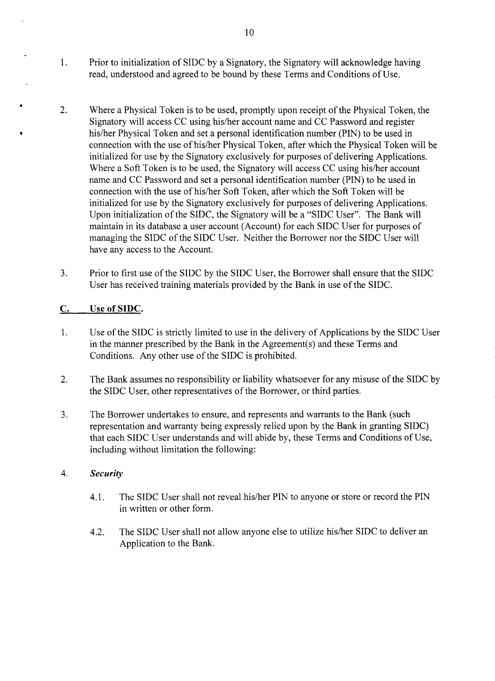- 1. Prior to initialization of **SIDC by** a Signatory, the Signatory will acknowledge having read, understood and agreed to be bound **by** these Terms and Conditions of Use.
- 2. Where a Physical Token is to be used, promptly upon receipt of the Physical Token, the Signatory will access **CC** using his/her account name and **CC** Password and register his/her Physical Token and set a personal identification number **(PIN)** to be used in connection with the use of his/her Physical Token, after which the Physical Token will be initialized for use **by** the Signatory exclusively for purposes of delivering Applications. Where a Soft Token is to be used, the Signatory will access **CC** using his/her account name and **CC** Password and set a personal identification number **(PIN)** to be used in connection with the use of his/her Soft Token, after which the Soft Token will be initialized for use **by** the Signatory exclusively for purposes of delivering Applications. Upon initialization of the **SIDC,** the Signatory will be a **"SIDC** User". The Bank will maintain in its database a user account (Account) for each **SIDC** User for purposes of managing the **SIDC** of the **SIDC** User. Neither the Borrower nor the **SIDC** User will have any access to the Account.
- **3.** Prior to first use of the **SIDC by** the **SIDC** User, the Borrower shall ensure that the **SIDC** User has received training materials provided **by** the Bank in use of the **SIDC.**

## **C.** Use **of SIDC.**

- 1. Use of the **SIDC** is strictly limited to use in the delivery of Applications **by** the **SIDC** User in the manner prescribed **by** the Bank in the Agreement(s) and these Terms and Conditions. Any other use of the **SIDC** is prohibited.
- 2. The Bank assumes no responsibility or liability whatsoever for any misuse of the **SIDC by** the **SIDC** User, other representatives of the Borrower, or third parties.
- **3.** The Borrower undertakes to ensure, and represents and warrants to the Bank (such representation and warranty being expressly relied upon **by** the Bank in granting **SIDC)** that each **SIDC** User understands and will abide **by,** these Terms and Conditions of Use, including without limitation the following:

### 4. *Security*

- 4.1. The **SIDC** User shall not reveal his/her **PIN** to anyone or store or record the **PIN** in written or other form.
- 4.2. The **SIDC** User shall not allow anyone else to utilize his/her **SIDC** to deliver an Application to the Bank.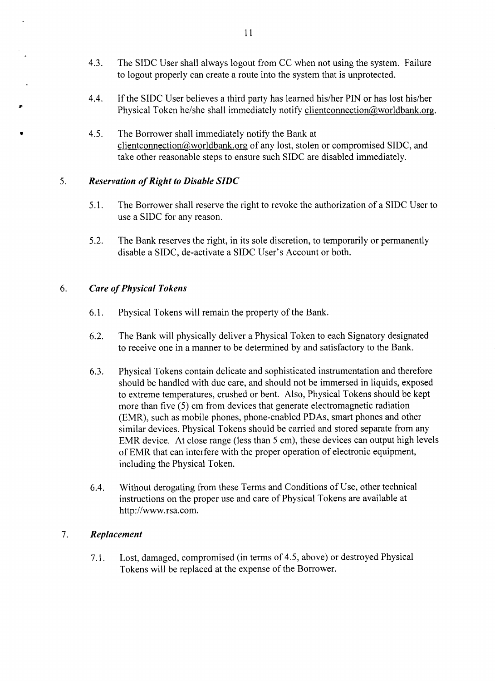- 4.3. The **SIDC** User shall always logout from **CC** when not using the system. Failure to logout properly can create a route into the system that is unprotected.
- 4.4. **If** the **SIDC** User believes a third party has learned his/her **PIN** or has lost his/her Physical Token he/she shall immediately notify clientconnection@worldbank.org.
- 4.5. The Borrower shall immediately notify the Bank at clientconnection(2worldbank.org of any lost, stolen or compromised **SIDC,** and take other reasonable steps to ensure such **SIDC** are disabled immediately.

### **5.** *Reservation of Right to Disable SIDC*

- *5.1.* The Borrower shall reserve the right to revoke the authorization of a **SIDC** User to use a **SIDC** for any reason.
- **5.2.** The Bank reserves the right, in its sole discretion, to temporarily or permanently disable a **SIDC,** de-activate a **SIDC** User's Account or both.

### **6.** *Care of Physical Tokens*

- **6.1.** Physical Tokens will remain the property of the Bank.
- **6.2.** The Bank will physically deliver a Physical Token to each Signatory designated to receive one in a manner to be determined **by** and satisfactory to the Bank.
- **6.3.** Physical Tokens contain delicate and sophisticated instrumentation and therefore should be handled with due care, and should not be immersed in liquids, exposed to extreme temperatures, crushed or bent. Also, Physical Tokens should be kept more than five **(5)** cm from devices that generate electromagnetic radiation (EMR), such as mobile phones, phone-enabled PDAs, smart phones and other similar devices. Physical Tokens should be carried and stored separate from any EMR device. At close range (less than **5** cm), these devices can output high levels of EMR that can interfere with the proper operation of electronic equipment, including the Physical Token.
- 6.4. Without derogating from these Terms and Conditions of Use, other technical instructions on the proper use and care of Physical Tokens are available at http://www.rsa.com.

### **7.** *Replacement*

**7.1.** Lost, damaged, compromised (in terms of 4.5, above) or destroyed Physical Tokens will be replaced at the expense of the Borrower.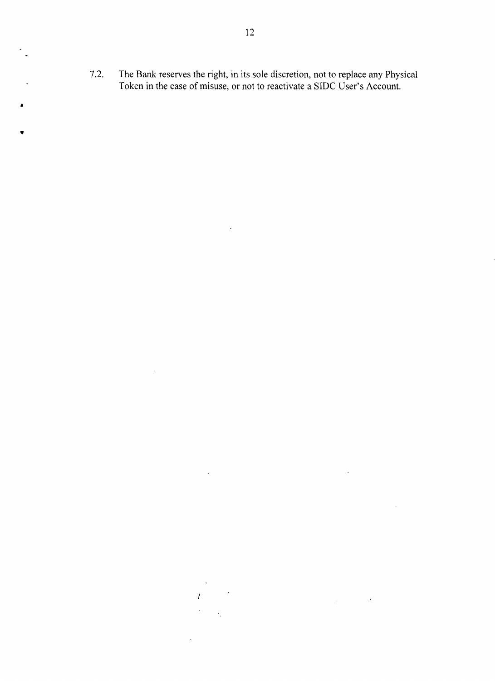7.2. The Bank reserves the right, in its sole discretion, not to replace any Physical Token in the case of misuse, or not to reactivate a SIDC User's Account.

 $\mathcal{A}^{\mathcal{A}}$ 

 $\hat{\mathcal{N}}$ 

 $\bar{f}$ 

 $\mathcal{A}_1$ 

 $\sim$ 

 $\mathcal{L}^{\text{max}}_{\text{max}}$  and  $\mathcal{L}^{\text{max}}_{\text{max}}$ 

 $\sim$   $\sim$ 

 $\sim 10^7$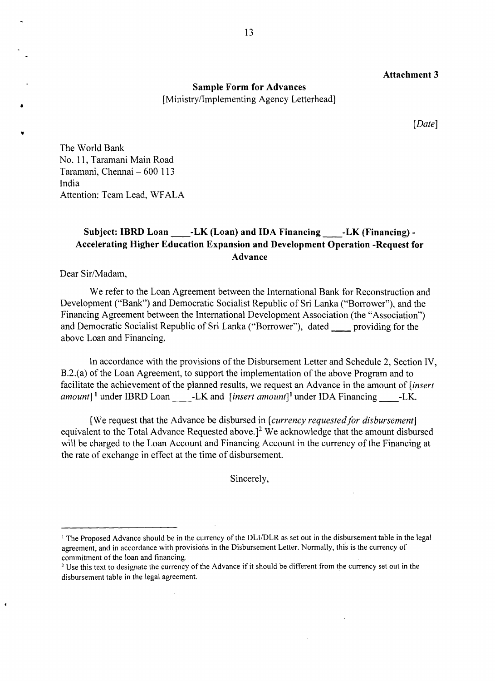#### **Attachment 3**

**Sample Form for Advances** [Ministry/Implementing Agency Letterhead]

*[Date]*

The World Bank No. **11,** Taramani Main Road Taramani, Chennai **- 600 113** India Attention: Team Lead, WFALA

## Subject: IBRD Loan **-LK** (Loan) and IDA Financing -LK (Financing) -**Accelerating Higher Education Expansion and Development Operation -Request for Advance**

Dear Sir/Madam,

 $\overline{\mathbf{1}}$ 

We refer to the Loan Agreement between the International Bank for Reconstruction and Development ("Bank") and Democratic Socialist Republic of Sri Lanka ("Borrower"), and the Financing Agreement between the International Development Association (the "Association") and Democratic Socialist Republic of Sri Lanka ("Borrower"), dated \_\_\_\_ providing for the above Loan and Financing.

In accordance with the provisions of the Disbursement Letter and Schedule 2, Section IV, B.2.(a) of the Loan Agreement, to support the implementation of the above Program and to facilitate the achievement of the planned results, we request an Advance in the amount of *[insert amount]* under IBRD Loan -LK and *[insert amount]I* under **IDA** Financing -LK.

[We request that the Advance be disbursed in *[currency requestedfor disbursement]* equivalent to the Total Advance Requested above.]<sup>2</sup> We acknowledge that the amount disbursed will be charged to the Loan Account and Financing Account in the currency of the Financing at the rate of exchange in effect at the time of disbursement.

Sincerely,

<sup>&</sup>lt;sup>1</sup> The Proposed Advance should be in the currency of the DLI/DLR as set out in the disbursement table in the legal agreement, and in accordance with provisions in the Disbursement Letter. Normally, this is the currency of commitment of the loan and financing.

ommitment of the loan and financing.<br>Use this text to designate the currency of the Advance if it should be different from the currency set out in the<br>. disbursement table in the legal agreement.